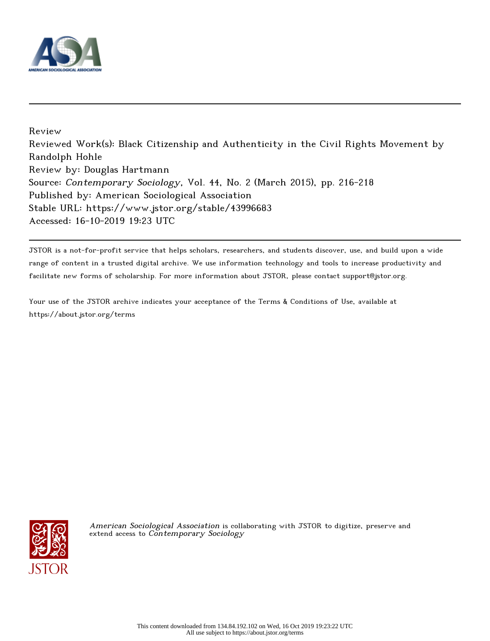

Review Reviewed Work(s): Black Citizenship and Authenticity in the Civil Rights Movement by Randolph Hohle Review by: Douglas Hartmann Source: Contemporary Sociology, Vol. 44, No. 2 (March 2015), pp. 216-218 Published by: American Sociological Association Stable URL: https://www.jstor.org/stable/43996683 Accessed: 16-10-2019 19:23 UTC

JSTOR is a not-for-profit service that helps scholars, researchers, and students discover, use, and build upon a wide range of content in a trusted digital archive. We use information technology and tools to increase productivity and facilitate new forms of scholarship. For more information about JSTOR, please contact support@jstor.org.

Your use of the JSTOR archive indicates your acceptance of the Terms & Conditions of Use, available at https://about.jstor.org/terms



American Sociological Association is collaborating with JSTOR to digitize, preserve and extend access to Contemporary Sociology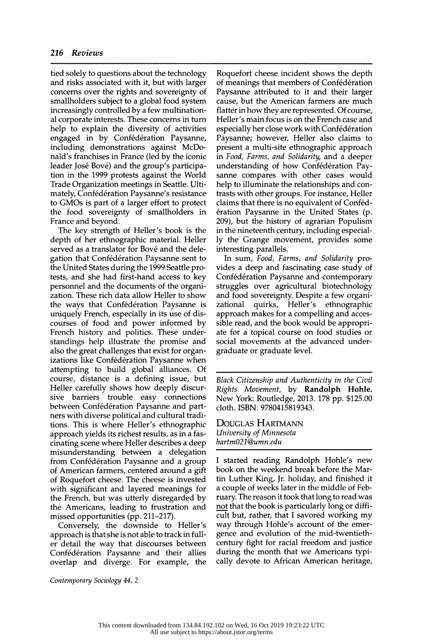tied solely to questions about the technology and risks associated with it, but with larger concerns over the rights and sovereignty of smallholders subject to a global food system increasingly controlled by a few multination al corporate interests. These concerns in turn help to explain the diversity of activities engaged in by Confédération Paysanne, including demonstrations against McDo nald's franchises in France (led by the iconic leader José Bové) and the group's participa tion in the 1999 protests against the World Trade Organization meetings in Seattle. Ulti mately, Confédération Paysanne's resistance to GMOs is part of a larger effort to protect the food sovereignty of smallholders in France and beyond.

 The key strength of Heller's book is the depth of her ethnographic material. Heller served as a translator for Bové and the dele gation that Confédération Paysanne sent to the United States during the 1999 Seattle pro tests, and she had first-hand access to key personnel and the documents of the organi zation. These rich data allow Heller to show the ways that Confédération Paysanne is uniquely French, especially in its use of dis courses of food and power informed by French history and politics. These under standings help illustrate the promise and also the great challenges that exist for organ izations like Confédération Paysanne when attempting to build global alliances. Of course, distance is a defining issue, but Heller carefully shows how deeply discur sive barriers trouble easy connections between Confédération Paysanne and part ners with diverse political and cultural tradi tions. This is where Heller's ethnographic approach yields its richest results, as in a fas cinating scene where Heller describes a deep misunderstanding between a delegation from Confédération Paysanne and a group of American farmers, centered around a gift of Roquefort cheese. The cheese is invested with significant and layered meanings for the French, but was utterly disregarded by the Americans, leading to frustration and missed opportunities (pp. 211-217).

 Conversely, the downside to Heller's approach is that she is not able to track in full er detail the way that discourses between Confédération Paysanne and their allies overlap and diverge. For example, the  Roquefort cheese incident shows the depth of meanings that members of Confédération Paysanne attributed to it and their larger cause, but the American farmers are much flatter in how they are represented. Of course, Heller's main focus is on the French case and especially her close work with Confédération Paysanne; however, Heller also claims to present a multi-site ethnographic approach in Food, Farms, and Solidarity, and a deeper understanding of how Confédération Pay sanne compares with other cases would help to illuminate the relationships and con trasts with other groups. For instance, Heller claims that there is no equivalent of Confed eration Paysanne in the United States (p. 209), but the history of agrarian Populism in the nineteenth century, including especial ly the Grange movement, provides some interesting parallels.

 In sum, Food, Farms, and Solidarity pro vides a deep and fascinating case study of Confédération Paysanne and contemporary struggles over agricultural biotechnology and food sovereignty. Despite a few organi quirks, Heller's ethnographic approach makes for a compelling and acces sible read, and the book would be appropri ate for a topical course on food studies or social movements at the advanced under graduate or graduate level.

 Black Citizenship and Authenticity in the Civil Rights Movement, by Randolph Hohle. New York: Routledge, 2013. 178 pp. \$125.00 cloth. ISBN: 9780415819343.

 Douglas Hartmann University of Minnesota hartm021@umn.edu

 I started reading Randolph Hohle's new book on the weekend break before the Mar tin Luther King, Jr. holiday, and finished it a couple of weeks later in the middle of Feb ruary. The reason it took that long to read was not that the book is particularly long or diffi cult but, rather, that I savored working my way through Hohle's account of the emer gence and evolution of the mid-twentieth century fight for racial freedom and justice during the month that we Americans typi cally devote to African American heritage,

Contemporary Sociology 44, 2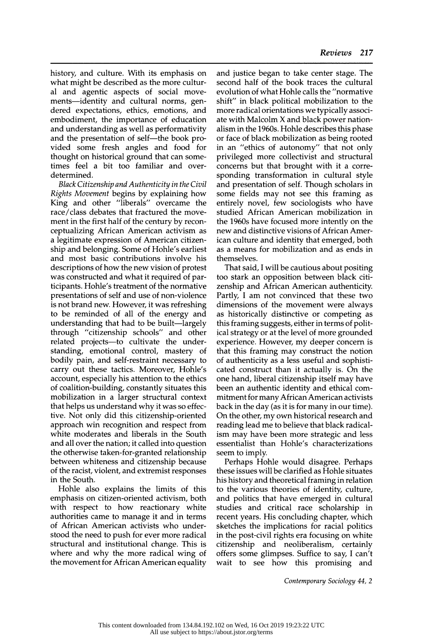history, and culture. With its emphasis on what might be described as the more cultur al and agentic aspects of social move ments—identity and cultural norms, gen dered expectations, ethics, emotions, and embodiment, the importance of education and understanding as well as performativity and the presentation of self-the book pro vided some fresh angles and food for thought on historical ground that can some times feel a bit too familiar and over determined.

 Black Citizenship and Authenticity in the Civil Rights Movement begins by explaining how King and other "liberals" overcame the race /class debates that fractured the move ment in the first half of the century by recon ceptualizing African American activism as a legitimate expression of American citizen ship and belonging. Some of Hohle's earliest and most basic contributions involve his descriptions of how the new vision of protest was constructed and what it required of par ticipants. Hohle's treatment of the normative presentations of self and use of non-violence is not brand new. However, it was refreshing to be reminded of all of the energy and understanding that had to be built—largely through "citizenship schools" and other related projects-to cultivate the under standing, emotional control, mastery of bodily pain, and self-restraint necessary to carry out these tactics. Moreover, Hohle's account, especially his attention to the ethics of coalition-building, constantly situates this mobilization in a larger structural context that helps us understand why it was so effec tive. Not only did this citizenship-oriented approach win recognition and respect from white moderates and liberals in the South and all over the nation; it called into question the otherwise taken-for-granted relationship between whiteness and citizenship because of the racist, violent, and extremist responses in the South.

 Hohle also explains the limits of this emphasis on citizen-oriented activism, both with respect to how reactionary white authorities came to manage it and in terms of African American activists who under stood the need to push for ever more radical structural and institutional change. This is where and why the more radical wing of the movement for African American equality  and justice began to take center stage. The second half of the book traces the cultural evolution of what Hohle calls the "normative shift" in black political mobilization to the more radical orientations we typically associ ate with Malcolm X and black power nation alism in the 1960s. Hohle describes this phase or face of black mobilization as being rooted in an "ethics of autonomy" that not only privileged more collectivist and structural concerns but that brought with it a corre sponding transformation in cultural style and presentation of self. Though scholars in some fields may not see this framing as entirely novel, few sociologists who have studied African American mobilization in the 1960s have focused more intently on the new and distinctive visions of African Amer ican culture and identity that emerged, both as a means for mobilization and as ends in themselves.

 That said, I will be cautious about positing too stark an opposition between black citi zenship and African American authenticity. Partly, I am not convinced that these two dimensions of the movement were always as historically distinctive or competing as this framing suggests, either in terms of polit ical strategy or at the level of more grounded experience. However, my deeper concern is that this framing may construct the notion of authenticity as a less useful and sophisti cated construct than it actually is. On the one hand, liberal citizenship itself may have been an authentic identity and ethical com mitment for many African American activists back in the day (as it is for many in our time). On the other, my own historical research and reading lead me to believe that black radical ism may have been more strategic and less essentialist than Hohle's characterizations seem to imply.

 Perhaps Hohle would disagree. Perhaps these issues will be clarified as Hohle situates his history and theoretical framing in relation to the various theories of identity, culture, and politics that have emerged in cultural studies and critical race scholarship in recent years. His concluding chapter, which sketches the implications for racial politics in the post-civil rights era focusing on white citizenship and neoliberalism, certainly offers some glimpses. Suffice to say, I can't wait to see how this promising and

Contemporary Sociology 44, 2